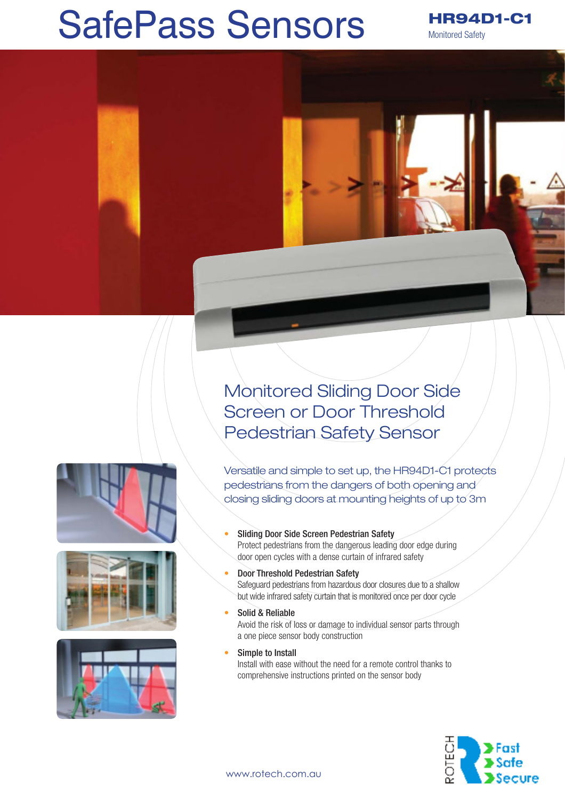## SafePass Sensors

HR94D1-C1 Monitored Safety

Monitored Sliding Door Side Screen or Door Threshold Pedestrian Safety Sensor

Versatile and simple to set up, the HR94D1-C1 protects pedestrians from the dangers of both opening and closing sliding doors at mounting heights of up to 3m





- Sliding Door Side Screen Pedestrian Safety Protect pedestrians from the dangerous leading door edge during door open cycles with a dense curtain of infrared safety
- Door Threshold Pedestrian Safety Safeguard pedestrians from hazardous door closures due to a shallow but wide infrared safety curtain that is monitored once per door cycle
- Solid & Reliable Avoid the risk of loss or damage to individual sensor parts through a one piece sensor body construction
	- Simple to Install Install with ease without the need for a remote control thanks to comprehensive instructions printed on the sensor body